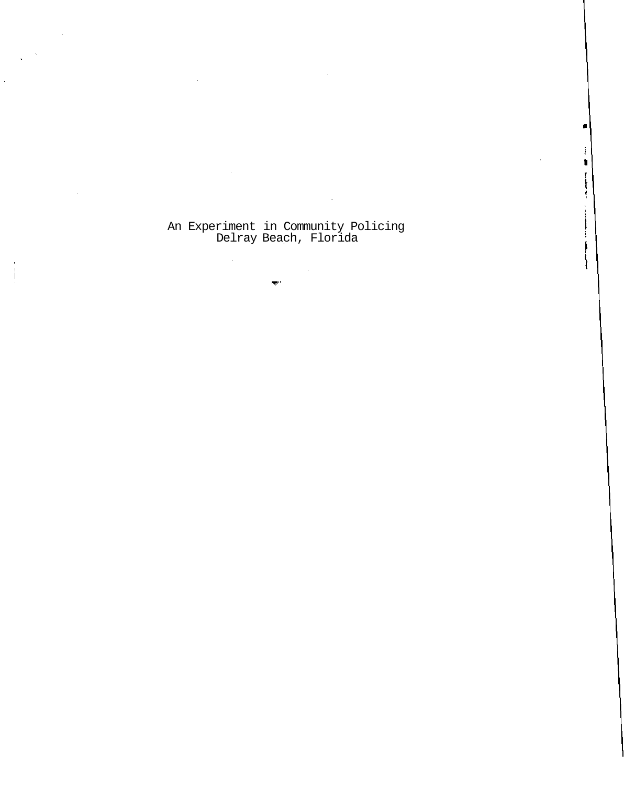An Experiment in Community Policing Delray Beach, Florida

 $\overline{\text{exp}}(\cdot)$ 

 $\mathcal{L}_{\mathcal{L}}$ 

 $\bar{z}$ 

 $\blacksquare$ 

Ĵ.  $\blacksquare$ 

 $\begin{array}{c}\n\vdots \\
\vdots \\
\vdots\n\end{array}$ 

 $\mathbf{I}$ 

∤

÷.

 $\mathcal{L}$ 

 $\sim 10$ 

 $\sim$   $\sim$ 

 $\mathcal{L}$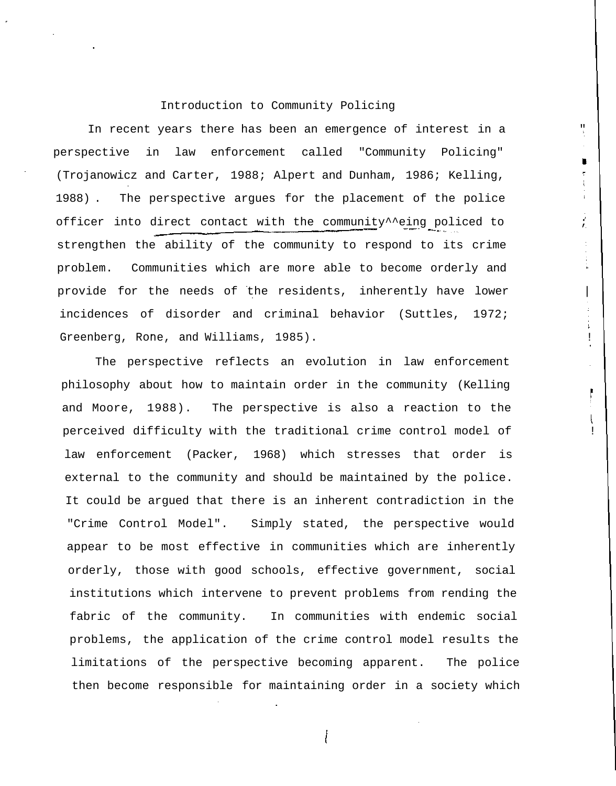# Introduction to Community Policing

In recent years there has been an emergence of interest in a perspective in law enforcement called "Community Policing" (Trojanowicz and Carter, 1988; Alpert and Dunham, 1986; Kelling, 1988) . The perspective argues for the placement of the police officer into direct contact with the community^^eing policed to  $\qquad$ strengthen the ability of the community to respond to its crime problem. Communities which are more able to become orderly and provide for the needs of the residents, inherently have lower incidences of disorder and criminal behavior (Suttles, 1972; Greenberg, Rone, and Williams, 1985).

 $\qquad \qquad \blacksquare$ 

The perspective reflects an evolution in law enforcement philosophy about how to maintain order in the community (Kelling and Moore, 1988). The perspective is also a reaction to the perceived difficulty with the traditional crime control model of law enforcement (Packer, 1968) which stresses that order is external to the community and should be maintained by the police. It could be argued that there is an inherent contradiction in the "Crime Control Model". Simply stated, the perspective would appear to be most effective in communities which are inherently orderly, those with good schools, effective government, social institutions which intervene to prevent problems from rending the fabric of the community. In communities with endemic social problems, the application of the crime control model results the limitations of the perspective becoming apparent. The police then become responsible for maintaining order in a society which

I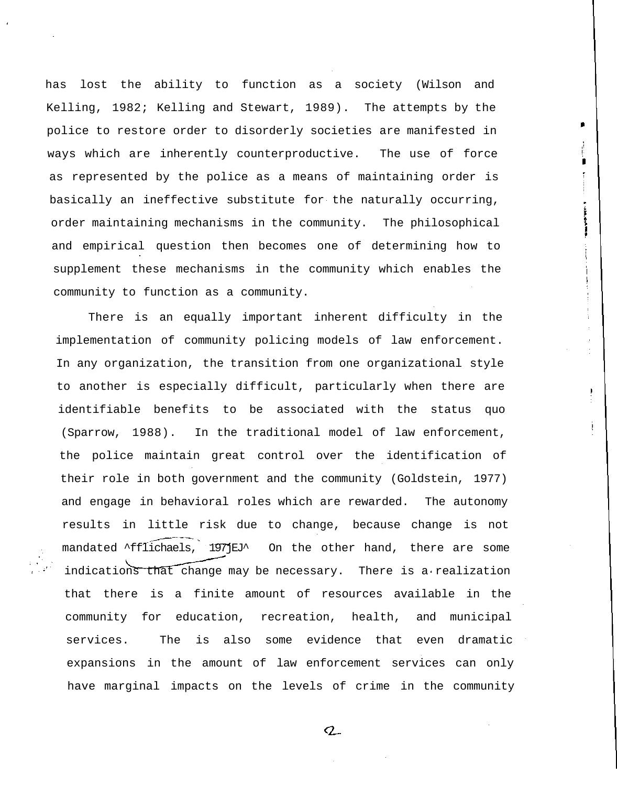has lost the ability to function as a society (Wilson and Kelling, 1982; Kelling and Stewart, 1989). The attempts by the police to restore order to disorderly societies are manifested in ways which are inherently counterproductive. The use of force as represented by the police as a means of maintaining order is basically an ineffective substitute for the naturally occurring, order maintaining mechanisms in the community. The philosophical and empirical question then becomes one of determining how to supplement these mechanisms in the community which enables the community to function as a community.

There is an equally important inherent difficulty in the implementation of community policing models of law enforcement. In any organization, the transition from one organizational style to another is especially difficult, particularly when there are identifiable benefits to be associated with the status quo (Sparrow, 1988). In the traditional model of law enforcement, the police maintain great control over the identification of their role in both government and the community (Goldstein, 1977) and engage in behavioral roles which are rewarded. The autonomy results in little risk due to change, because change is not mandated ^fflichaels, 197jEJ^ On the other hand, there are some indications that change may be necessary. There is a realization that there is a finite amount of resources available in the community for education, recreation, health, and municipal services. The is also some evidence that even dramatic expansions in the amount of law enforcement services can only have marginal impacts on the levels of crime in the community

 $Q_{-}$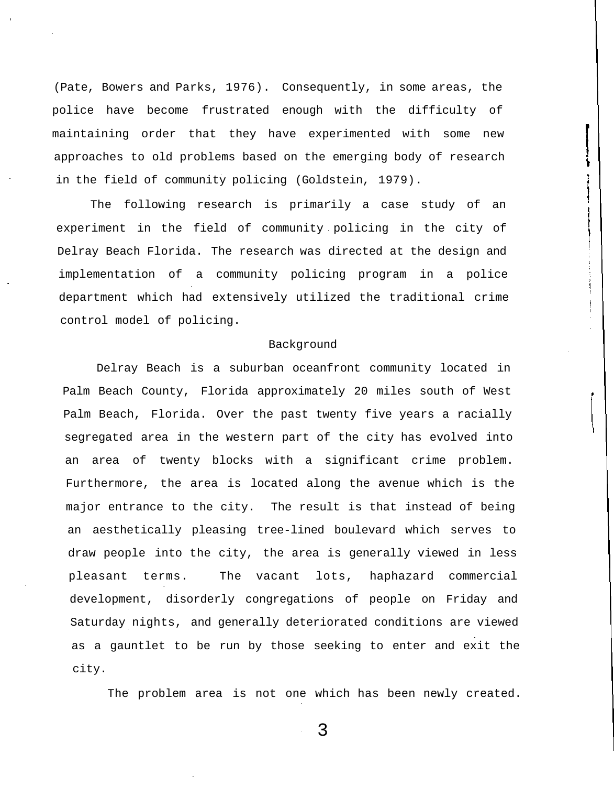(Pate, Bowers and Parks, 1976). Consequently, in some areas, the police have become frustrated enough with the difficulty of maintaining order that they have experimented with some new approaches to old problems based on the emerging body of research in the field of community policing (Goldstein, 1979).

The following research is primarily a case study of an experiment in the field of community policing in the city of Delray Beach Florida. The research was directed at the design and implementation of a community policing program in a police department which had extensively utilized the traditional crime control model of policing.

## Background

Delray Beach is a suburban oceanfront community located in Palm Beach County, Florida approximately 20 miles south of West Palm Beach, Florida. Over the past twenty five years a racially segregated area in the western part of the city has evolved into an area of twenty blocks with a significant crime problem. Furthermore, the area is located along the avenue which is the major entrance to the city. The result is that instead of being an aesthetically pleasing tree-lined boulevard which serves to draw people into the city, the area is generally viewed in less pleasant terms. The vacant lots, haphazard commercial development, disorderly congregations of people on Friday and Saturday nights, and generally deteriorated conditions are viewed as a gauntlet to be run by those seeking to enter and exit the city.

The problem area is not one which has been newly created.

3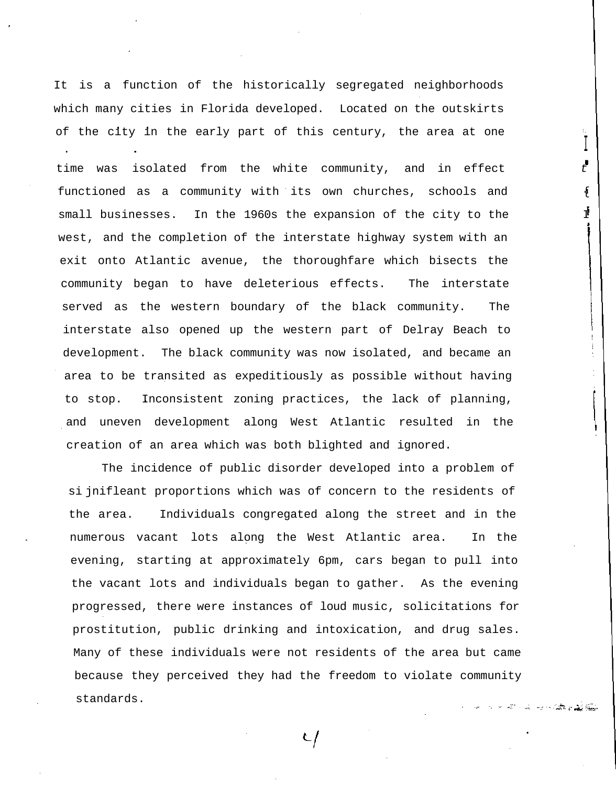It is a function of the historically segregated neighborhoods which many cities in Florida developed. Located on the outskirts of the city in the early part of this century, the area at one

I

لي الله عليه المعاملة العاملية المركزية المواردة المواردة المواردة المواردة المواردة المواردة الموارد<br>المواردة المواردة المواردة المواردة المواردة المواردة المواردة المواردة المواردة المواردة المواردة المواردة ال

time was isolated from the white community, and in effect  $\begin{array}{ccc} & \bullet & \bullet \\ & t & \end{array}$ functioned as a community with its own churches, schools and small businesses. In the 1960s the expansion of the city to the  $I$ west, and the completion of the interstate highway system with an ' exit onto Atlantic avenue, the thoroughfare which bisects the community began to have deleterious effects. The interstate served as the western boundary of the black community. The interstate also opened up the western part of Delray Beach to development. The black community was now isolated, and became an area to be transited as expeditiously as possible without having to stop. Inconsistent zoning practices, the lack of planning, and uneven development along West Atlantic resulted in the creation of an area which was both blighted and ignored.

The incidence of public disorder developed into a problem of si jnifleant proportions which was of concern to the residents of the area. Individuals congregated along the street and in the numerous vacant lots along the West Atlantic area. In the evening, starting at approximately 6pm, cars began to pull into the vacant lots and individuals began to gather. As the evening progressed, there were instances of loud music, solicitations for prostitution, public drinking and intoxication, and drug sales. Many of these individuals were not residents of the area but came because they perceived they had the freedom to violate community standards.

 $\tau$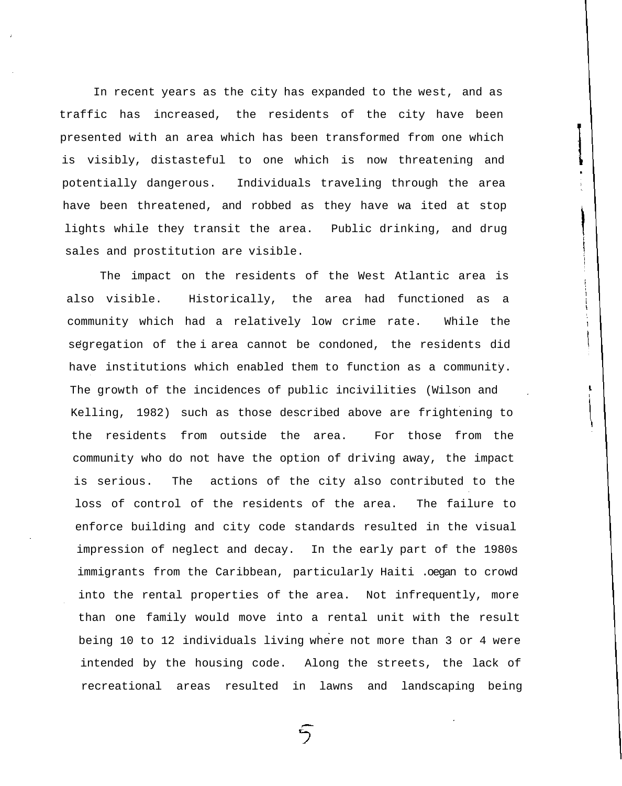In recent years as the city has expanded to the west, and as traffic has increased, the residents of the city have been presented with an area which has been transformed from one which is visibly, distasteful to one which is now threatening and potentially dangerous. Individuals traveling through the area have been threatened, and robbed as they have wa ited at stop lights while they transit the area. Public drinking, and drug sales and prostitution are visible.

The impact on the residents of the West Atlantic area is also visible. Historically, the area had functioned as a community which had a relatively low crime rate. While the segregation of the i area cannot be condoned, the residents did have institutions which enabled them to function as a community. The growth of the incidences of public incivilities (Wilson and Kelling, 1982) such as those described above are frightening to the residents from outside the area. For those from the community who do not have the option of driving away, the impact is serious. The actions of the city also contributed to the loss of control of the residents of the area. The failure to enforce building and city code standards resulted in the visual impression of neglect and decay. In the early part of the 1980s immigrants from the Caribbean, particularly Haiti .oegan to crowd into the rental properties of the area. Not infrequently, more than one family would move into a rental unit with the result being 10 to 12 individuals living where not more than 3 or 4 were intended by the housing code. Along the streets, the lack of recreational areas resulted in lawns and landscaping being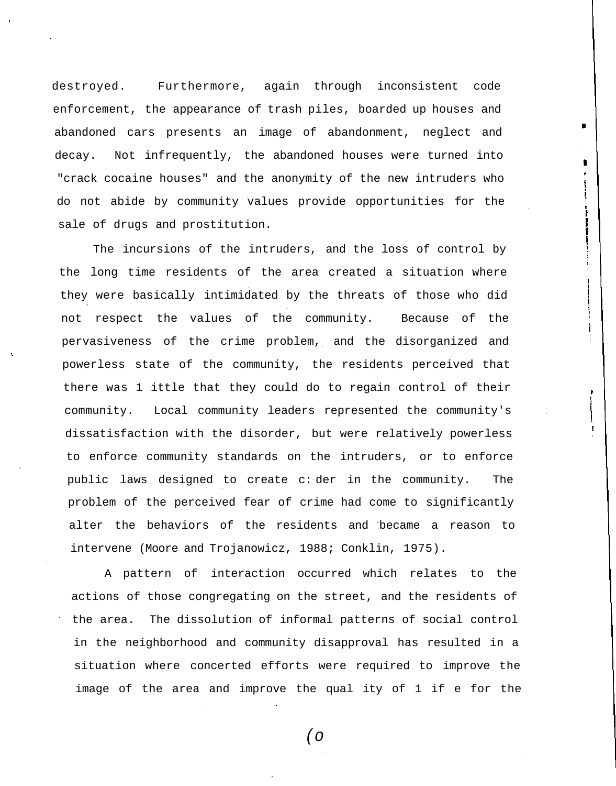destroyed. Furthermore, again through inconsistent code enforcement, the appearance of trash piles, boarded up houses and abandoned cars presents an image of abandonment, neglect and decay. Not infrequently, the abandoned houses were turned into "crack cocaine houses" and the anonymity of the new intruders who do not abide by community values provide opportunities for the sale of drugs and prostitution.

The incursions of the intruders, and the loss of control by the long time residents of the area created a situation where they were basically intimidated by the threats of those who did not respect the values of the community. Because of the pervasiveness of the crime problem, and the disorganized and powerless state of the community, the residents perceived that there was 1 ittle that they could do to regain control of their community. Local community leaders represented the community's dissatisfaction with the disorder, but were relatively powerless to enforce community standards on the intruders, or to enforce public laws designed to create c: der in the community. The problem of the perceived fear of crime had come to significantly alter the behaviors of the residents and became a reason to intervene (Moore and Trojanowicz, 1988; Conklin, 1975).

A pattern of interaction occurred which relates to the actions of those congregating on the street, and the residents of the area. The dissolution of informal patterns of social control in the neighborhood and community disapproval has resulted in a situation where concerted efforts were required to improve the image of the area and improve the qual ity of 1 if e for the

(o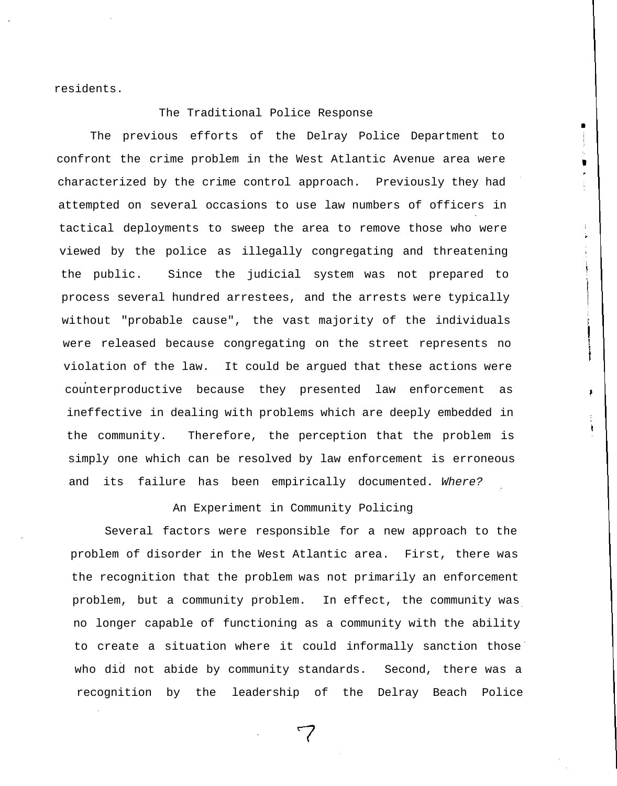residents.

The Traditional Police Response

The previous efforts of the Delray Police Department to confront the crime problem in the West Atlantic Avenue area were characterized by the crime control approach. Previously they had attempted on several occasions to use law numbers of officers in tactical deployments to sweep the area to remove those who were viewed by the police as illegally congregating and threatening the public. Since the judicial system was not prepared to process several hundred arrestees, and the arrests were typically without "probable cause", the vast majority of the individuals were released because congregating on the street represents no violation of the law. It could be argued that these actions were counterproductive because they presented law enforcement as ineffective in dealing with problems which are deeply embedded in the community. Therefore, the perception that the problem is simply one which can be resolved by law enforcement is erroneous and its failure has been empirically documented. Where?

÷.

An Experiment in Community Policing

Several factors were responsible for a new approach to the problem of disorder in the West Atlantic area. First, there was the recognition that the problem was not primarily an enforcement problem, but a community problem. In effect, the community was no longer capable of functioning as a community with the ability to create a situation where it could informally sanction those who did not abide by community standards. Second, there was a recognition by the leadership of the Delray Beach Police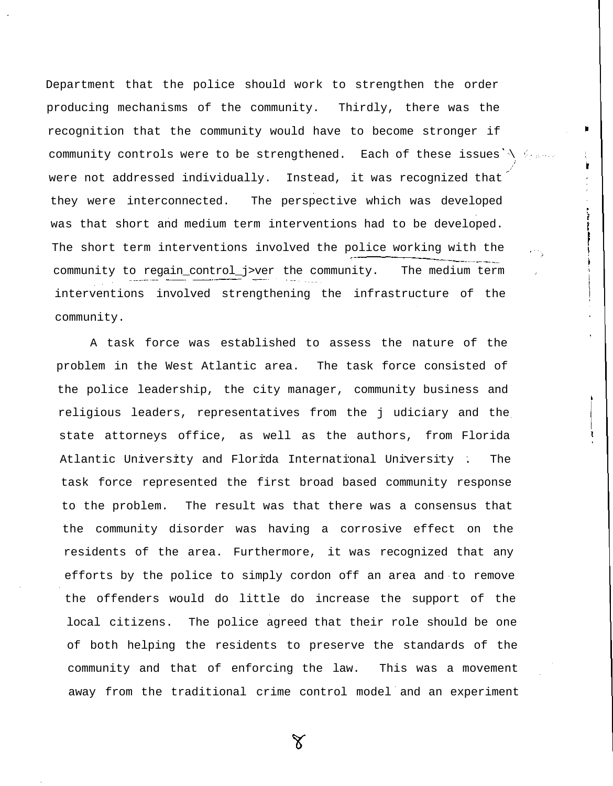Department that the police should work to strengthen the order producing mechanisms of the community. Thirdly, there was the recognition that the community would have to become stronger if community controls were to be strengthened. Each of these issues  $\setminus$  frame were not addressed individually. Instead, it was recognized that they were interconnected. The perspective which was developed was that short and medium term interventions had to be developed. The short term interventions involved the police working with the community to regain\_control\_j>ver the community. The medium term interventions involved strengthening the infrastructure of the community.

A task force was established to assess the nature of the problem in the West Atlantic area. The task force consisted of the police leadership, the city manager, community business and religious leaders, representatives from the j udiciary and the state attorneys office, as well as the authors, from Florida Atlantic University and Florida International University . The task force represented the first broad based community response to the problem. The result was that there was a consensus that the community disorder was having a corrosive effect on the residents of the area. Furthermore, it was recognized that any efforts by the police to simply cordon off an area and to remove the offenders would do little do increase the support of the local citizens. The police agreed that their role should be one of both helping the residents to preserve the standards of the community and that of enforcing the law. This was a movement away from the traditional crime control model and an experiment

Υ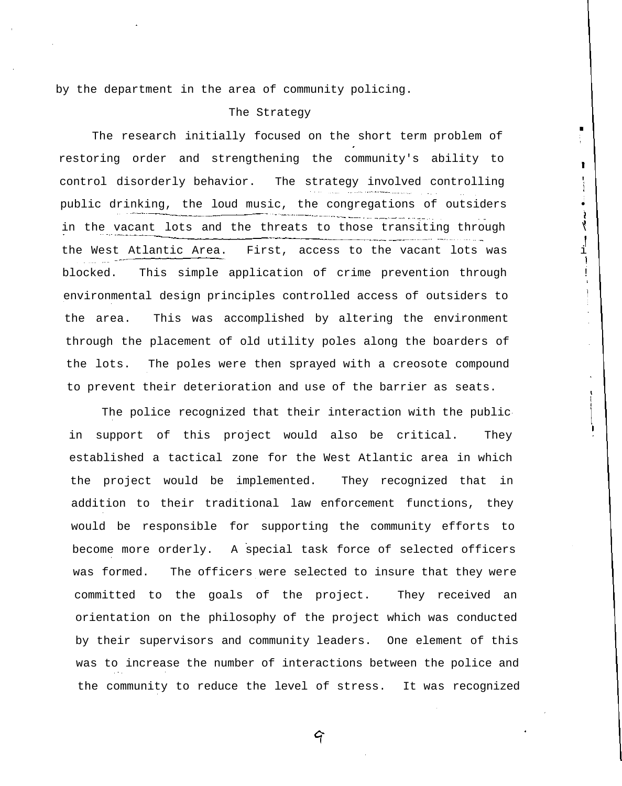by the department in the area of community policing.

# The Strategy

The research initially focused on the short term problem of restoring order and strengthening the community's ability to control disorderly behavior. The strategy involved controlling public drinking, the loud music, the congregations of outsiders  $\rightarrow$ in the vacant lots and the threats to those transiting through  $\langle$ the West Atlantic Area. First, access to the vacant lots was i blocked. This simple application of crime prevention through ! environmental design principles controlled access of outsiders to the area. This was accomplished by altering the environment through the placement of old utility poles along the boarders of the lots. The poles were then sprayed with a creosote compound to prevent their deterioration and use of the barrier as seats.

Ť

 $\left\{ \right.$ 

The police recognized that their interaction with the public in support of this project would also be critical. They established a tactical zone for the West Atlantic area in which the project would be implemented. They recognized that in addition to their traditional law enforcement functions, they would be responsible for supporting the community efforts to become more orderly. A special task force of selected officers was formed. The officers were selected to insure that they were committed to the goals of the project. They received an orientation on the philosophy of the project which was conducted by their supervisors and community leaders. One element of this was to increase the number of interactions between the police and the community to reduce the level of stress. It was recognized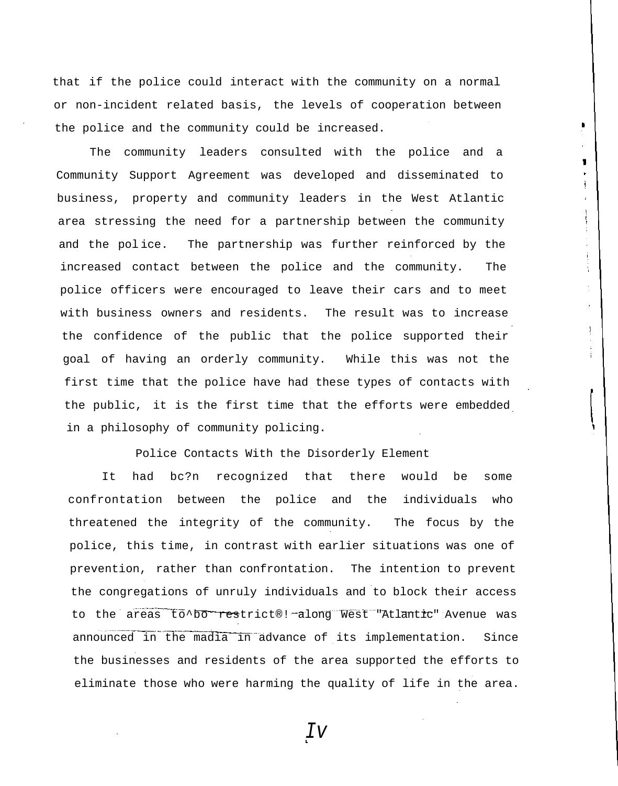that if the police could interact with the community on a normal or non-incident related basis, the levels of cooperation between the police and the community could be increased.

1

The community leaders consulted with the police and a Community Support Agreement was developed and disseminated to business, property and community leaders in the West Atlantic area stressing the need for a partnership between the community and the pol ice. The partnership was further reinforced by the increased contact between the police and the community. The police officers were encouraged to leave their cars and to meet with business owners and residents. The result was to increase the confidence of the public that the police supported their goal of having an orderly community. While this was not the first time that the police have had these types of contacts with the public, it is the first time that the efforts were embedded in a philosophy of community policing.

Police Contacts With the Disorderly Element

It had bc?n recognized that there would be some confrontation between the police and the individuals who threatened the integrity of the community. The focus by the police, this time, in contrast with earlier situations was one of prevention, rather than confrontation. The intention to prevent the congregations of unruly individuals and to block their access to the areas to^bo restrict®! along West "Atlantic" Avenue was announced in the madia in advance of its implementation. Since the businesses and residents of the area supported the efforts to eliminate those who were harming the quality of life in the area.

Iv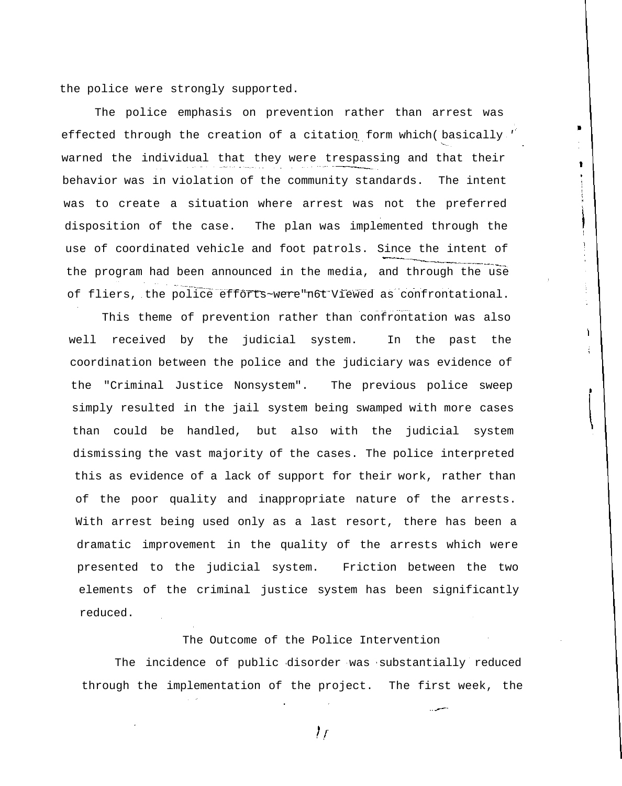the police were strongly supported.

The police emphasis on prevention rather than arrest was effected through the creation of a citation form which basically ' warned the individual that they were trespassing and that their behavior was in violation of the community standards. The intent was to create a situation where arrest was not the preferred disposition of the case. The plan was implemented through the use of coordinated vehicle and foot patrols. Since the intent of the program had been announced in the media, and through the use of fliers, the police efforts~were"n6t Viewed as confrontational.

٠

ŧ

ì

This theme of prevention rather than confrontation was also well received by the judicial system. In the past the coordination between the police and the judiciary was evidence of the "Criminal Justice Nonsystem". The previous police sweep simply resulted in the jail system being swamped with more cases than could be handled, but also with the judicial system dismissing the vast majority of the cases. The police interpreted this as evidence of a lack of support for their work, rather than of the poor quality and inappropriate nature of the arrests. With arrest being used only as a last resort, there has been a dramatic improvement in the quality of the arrests which were presented to the judicial system. Friction between the two elements of the criminal justice system has been significantly reduced.

The Outcome of the Police Intervention

The incidence of public disorder was substantially reduced through the implementation of the project. The first week, the

 $\mathcal{F}$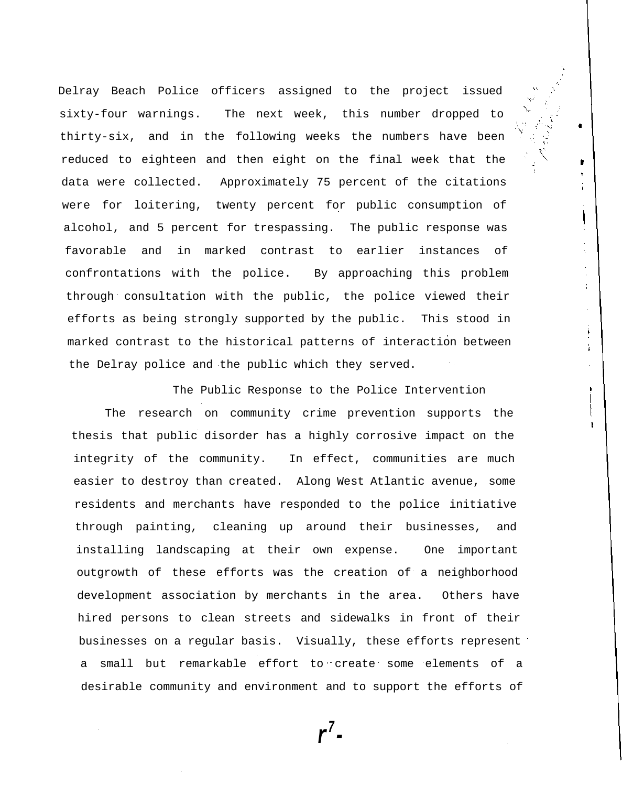Delray Beach Police officers assigned to the project issued sixty-four warnings. The next week, this number dropped to thirty-six, and in the following weeks the numbers have been reduced to eighteen and then eight on the final week that the data were collected. Approximately 75 percent of the citations were for loitering, twenty percent for public consumption of alcohol, and 5 percent for trespassing. The public response was favorable and in marked contrast to earlier instances of confrontations with the police. By approaching this problem through consultation with the public, the police viewed their efforts as being strongly supported by the public. This stood in marked contrast to the historical patterns of interaction between the Delray police and the public which they served.

٠

 $\pmb{\cdot}$ 

ļ

 $\pm$ 

÷.

The Public Response to the Police Intervention The research on community crime prevention supports the thesis that public disorder has a highly corrosive impact on the integrity of the community. In effect, communities are much easier to destroy than created. Along West Atlantic avenue, some residents and merchants have responded to the police initiative through painting, cleaning up around their businesses, and installing landscaping at their own expense. One important outgrowth of these efforts was the creation of a neighborhood development association by merchants in the area. Others have hired persons to clean streets and sidewalks in front of their businesses on a regular basis. Visually, these efforts represent a small but remarkable effort to create some elements of a desirable community and environment and to support the efforts of

**r 7-**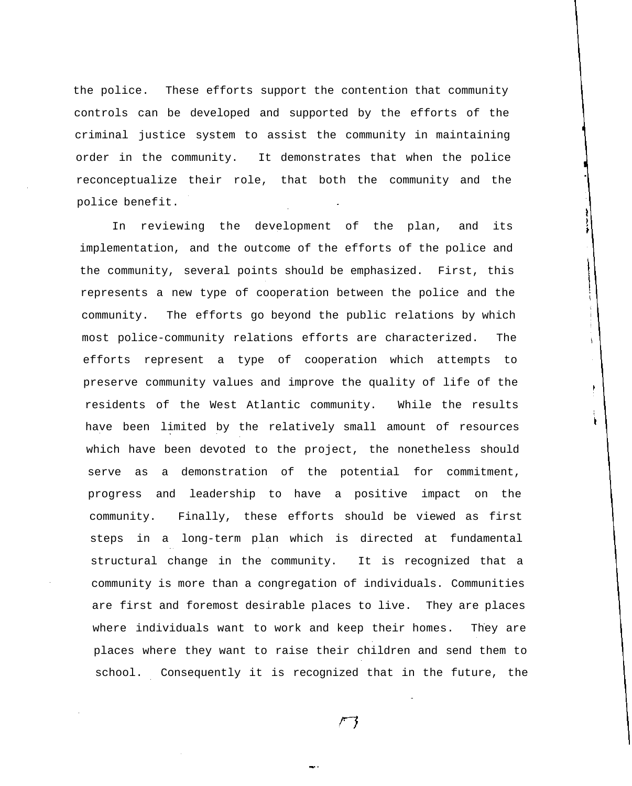the police. These efforts support the contention that community controls can be developed and supported by the efforts of the criminal justice system to assist the community in maintaining order in the community. It demonstrates that when the police reconceptualize their role, that both the community and the police benefit.

In reviewing the development of the plan, and its implementation, and the outcome of the efforts of the police and the community, several points should be emphasized. First, this represents a new type of cooperation between the police and the community. The efforts go beyond the public relations by which most police-community relations efforts are characterized. The efforts represent a type of cooperation which attempts to preserve community values and improve the quality of life of the residents of the West Atlantic community. While the results have been limited by the relatively small amount of resources which have been devoted to the project, the nonetheless should serve as a demonstration of the potential for commitment, progress and leadership to have a positive impact on the community. Finally, these efforts should be viewed as first steps in a long-term plan which is directed at fundamental structural change in the community. It is recognized that a community is more than a congregation of individuals. Communities are first and foremost desirable places to live. They are places where individuals want to work and keep their homes. They are places where they want to raise their children and send them to school. Consequently it is recognized that in the future, the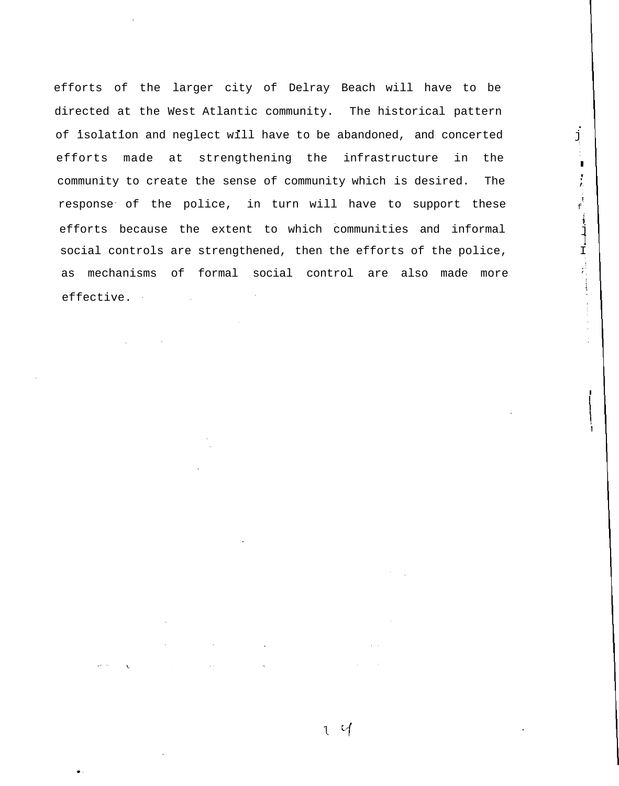efforts of the larger city of Delray Beach will have to be directed at the West Atlantic community. The historical pattern of isolation and neglect will have to be abandoned, and concerted efforts made at strengthening the infrastructure in the community to create the sense of community which is desired. The  $\qquad$ response of the police, in turn will have to support these  $\overrightarrow{f}$ efforts because the extent to which communities and informal social controls are strengthened, then the efforts of the police, as mechanisms of formal social control are also made more effective.

•

 $\mathbf{r}$ 

i

I

 $\ddot{\phantom{1}}$ 

 $\mathcal{L}^{\text{max}}$  is a set of  $\mathcal{L}^{\text{max}}$ 

 $\mathcal{L}^{\mathcal{L}}$  , where  $\mathcal{L}^{\mathcal{L}}$  and  $\mathcal{L}^{\mathcal{L}}$  , where  $\mathcal{L}^{\mathcal{L}}$ 

 $\mathcal{L}^{\mathcal{L}}(\mathcal{L}^{\mathcal{L}})$  and  $\mathcal{L}^{\mathcal{L}}(\mathcal{L}^{\mathcal{L}})$  and  $\mathcal{L}^{\mathcal{L}}(\mathcal{L}^{\mathcal{L}})$  and  $\mathcal{L}^{\mathcal{L}}(\mathcal{L}^{\mathcal{L}})$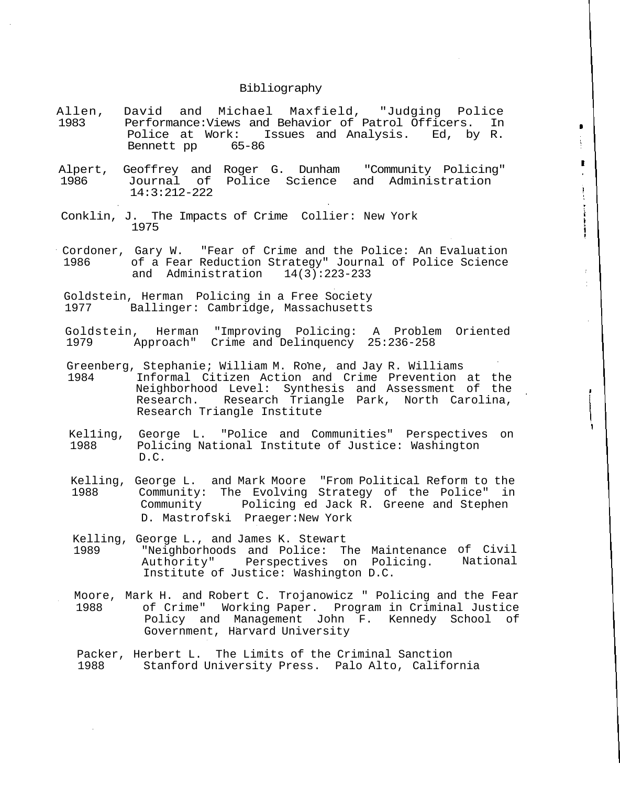### Bibliography

Allen, David and Michael Maxfield, "Judging Police 1983 Performance:Views and Behavior of Patrol Officers. In Police at Work: Issues and Analysis. Ed, by R.<br>Bennett pp 65-86 Bennett pp

 $\blacksquare$ 

ţ.

 $\begin{matrix} \rule{0pt}{2ex} \rule{0pt}{2ex} \rule{0pt}{2ex} \rule{0pt}{2ex} \rule{0pt}{2ex} \rule{0pt}{2ex} \rule{0pt}{2ex} \rule{0pt}{2ex} \rule{0pt}{2ex} \rule{0pt}{2ex} \rule{0pt}{2ex} \rule{0pt}{2ex} \rule{0pt}{2ex} \rule{0pt}{2ex} \rule{0pt}{2ex} \rule{0pt}{2ex} \rule{0pt}{2ex} \rule{0pt}{2ex} \rule{0pt}{2ex} \rule{0pt}{2ex} \rule{0pt}{2ex} \rule{0pt}{2ex} \rule{0pt}{2ex} \rule{0pt}{2ex$ ł 

 $\bar{t}$ 

- Alpert, Geoffrey and Roger G. Dunham "Community Policing"<br>1986 Journal of Police Science and Administration 1986 Journal of Police Science and Administration 14:3:212-222
- Conklin, J. The Impacts of Crime Collier: New York 1975
- Cordoner, Gary W. "Fear of Crime and the Police: An Evaluation 1986 of a Fear Reduction Strategy" Journal of Police Science and Administration 14(3):223-233
- Goldstein, Herman Policing in a Free Society Ballinger: Cambridge, Massachusetts
- Goldstein, Herman "Improving Policing: A Problem Oriented 1979 Approach" Crime and Delinquency 25:236-258
- Greenberg, Stephanie; William M. Rone, and Jay R. Williams 1984 Informal Citizen Action and Crime Prevention at the Neighborhood Level: Synthesis and Assessment of the Research. Research Triangle Park, North Carolina, Research Triangle Institute
- Kel1ing, George L. "Police and Communities" Perspectives on 1988 Policing National Institute of Justice: Washington D.C.
- Kelling, George L. and Mark Moore "From Political Reform to the 1988 Community: The Evolving Strategy of the Police" in Community Policing ed Jack R. Greene and Stephen D. Mastrofski Praeger:New York
- Kelling, George L., and James K. Stewart 1989 "Neighborhoods and Police: The Maintenance of Civil Authority" Perspectives on Policing. Institute of Justice: Washington D.C. National
- Moore, Mark H. and Robert C. Trojanowicz " Policing and the Fear 1988 of Crime" Working Paper. Program in Criminal Justice Policy and Management John F. Kennedy School of Government, Harvard University
- Packer, Herbert L. The Limits of the Criminal Sanction 1988 Stanford University Press. Palo Alto, California